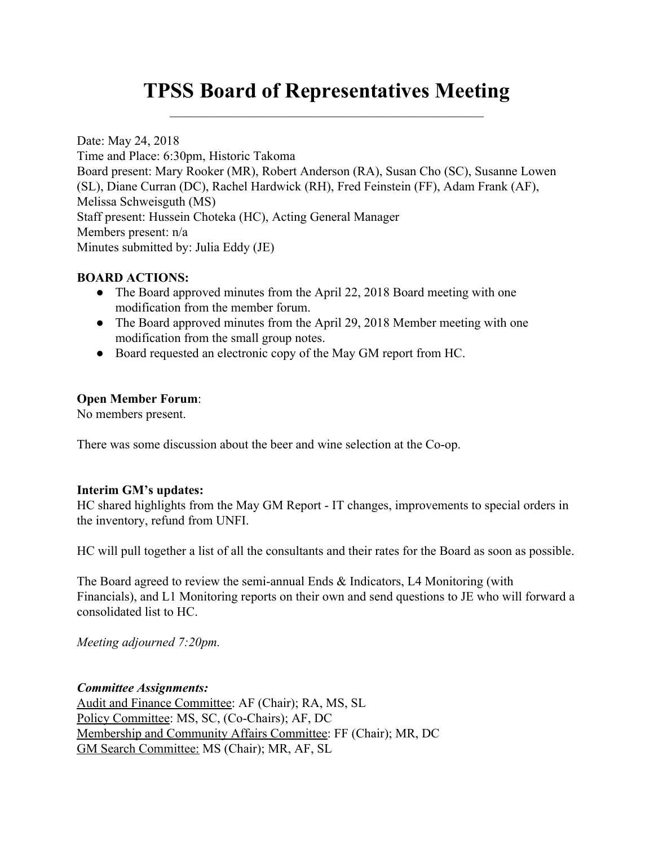# **TPSS Board of Representatives Meeting**  $\mathcal{L}_\text{max}$  , and the contract of the contract of the contract of the contract of the contract of the contract of the contract of the contract of the contract of the contract of the contract of the contract of the contr

Date: May 24, 2018 Time and Place: 6:30pm, Historic Takoma Board present: Mary Rooker (MR), Robert Anderson (RA), Susan Cho (SC), Susanne Lowen (SL), Diane Curran (DC), Rachel Hardwick (RH), Fred Feinstein (FF), Adam Frank (AF), Melissa Schweisguth (MS) Staff present: Hussein Choteka (HC), Acting General Manager Members present: n/a Minutes submitted by: Julia Eddy (JE)

### **BOARD ACTIONS:**

- The Board approved minutes from the April 22, 2018 Board meeting with one modification from the member forum.
- The Board approved minutes from the April 29, 2018 Member meeting with one modification from the small group notes.
- Board requested an electronic copy of the May GM report from HC.

### **Open Member Forum**:

No members present.

There was some discussion about the beer and wine selection at the Co-op.

### **Interim GM's updates:**

HC shared highlights from the May GM Report - IT changes, improvements to special orders in the inventory, refund from UNFI.

HC will pull together a list of all the consultants and their rates for the Board as soon as possible.

The Board agreed to review the semi-annual Ends & Indicators, L4 Monitoring (with Financials), and L1 Monitoring reports on their own and send questions to JE who will forward a consolidated list to HC.

*Meeting adjourned 7:20pm.*

### *Committee Assignments:*

Audit and Finance Committee: AF (Chair); RA, MS, SL Policy Committee: MS, SC, (Co-Chairs); AF, DC Membership and Community Affairs Committee: FF (Chair); MR, DC GM Search Committee: MS (Chair); MR, AF, SL